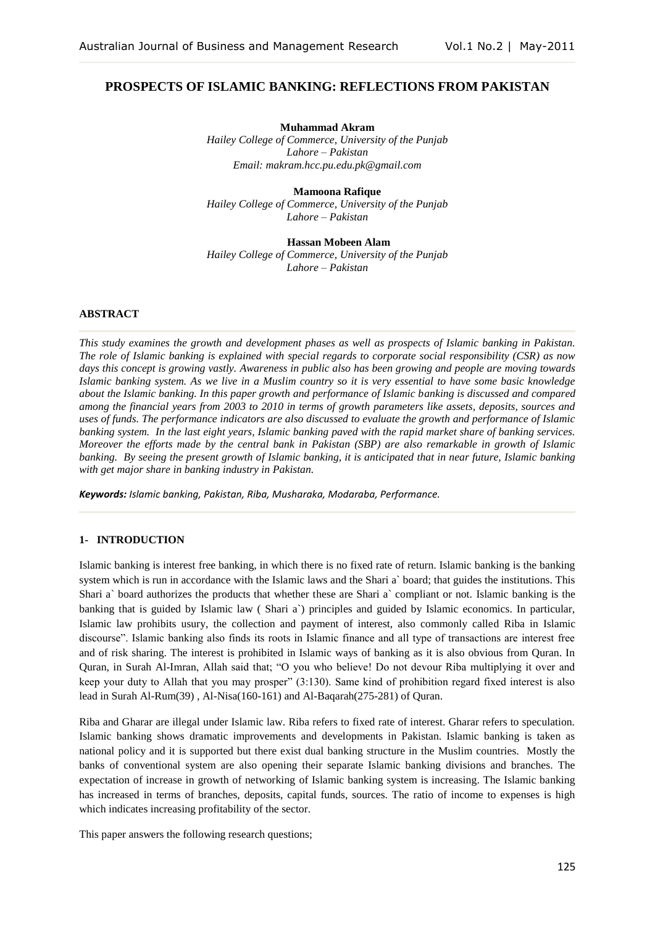# **PROSPECTS OF ISLAMIC BANKING: REFLECTIONS FROM PAKISTAN**

**Muhammad Akram** *Hailey College of Commerce, University of the Punjab Lahore – Pakistan Email[: makram.hcc.pu.edu.pk@gmail.com](mailto:makram.hcc.pu.edu.pk@gmail.com)*

**Mamoona Rafique**  *Hailey College of Commerce, University of the Punjab Lahore – Pakistan*

**Hassan Mobeen Alam** *Hailey College of Commerce, University of the Punjab Lahore – Pakistan*

#### **ABSTRACT**

*This study examines the growth and development phases as well as prospects of Islamic banking in Pakistan. The role of Islamic banking is explained with special regards to corporate social responsibility (CSR) as now days this concept is growing vastly. Awareness in public also has been growing and people are moving towards Islamic banking system. As we live in a Muslim country so it is very essential to have some basic knowledge about the Islamic banking. In this paper growth and performance of Islamic banking is discussed and compared among the financial years from 2003 to 2010 in terms of growth parameters like assets, deposits, sources and uses of funds. The performance indicators are also discussed to evaluate the growth and performance of Islamic banking system. In the last eight years, Islamic banking paved with the rapid market share of banking services. Moreover the efforts made by the central bank in Pakistan (SBP) are also remarkable in growth of Islamic banking. By seeing the present growth of Islamic banking, it is anticipated that in near future, Islamic banking with get major share in banking industry in Pakistan.* 

*Keywords: Islamic banking, Pakistan, Riba, Musharaka, Modaraba, Performance.*

#### **1- INTRODUCTION**

Islamic banking is interest free banking, in which there is no fixed rate of return. Islamic banking is the banking system which is run in accordance with the Islamic laws and the Shari a' board; that guides the institutions. This Shari a` board authorizes the products that whether these are Shari a` compliant or not. Islamic banking is the banking that is guided by Islamic law ( Shari a`) principles and guided by Islamic economics. In particular, Islamic law prohibits usury, the collection and payment of interest, also commonly called Riba in Islamic discourse". Islamic banking also finds its roots in Islamic finance and all type of transactions are interest free and of risk sharing. The interest is prohibited in Islamic ways of banking as it is also obvious from Quran. In Quran, in Surah Al-Imran, Allah said that; "O you who believe! Do not devour Riba multiplying it over and keep your duty to Allah that you may prosper" (3:130). Same kind of prohibition regard fixed interest is also lead in Surah Al-Rum(39) , Al-Nisa(160-161) and Al-Baqarah(275-281) of Quran.

Riba and Gharar are illegal under Islamic law. Riba refers to fixed rate of interest. Gharar refers to speculation. Islamic banking shows dramatic improvements and developments in Pakistan. Islamic banking is taken as national policy and it is supported but there exist dual banking structure in the Muslim countries. Mostly the banks of conventional system are also opening their separate Islamic banking divisions and branches. The expectation of increase in growth of networking of Islamic banking system is increasing. The Islamic banking has increased in terms of branches, deposits, capital funds, sources. The ratio of income to expenses is high which indicates increasing profitability of the sector.

This paper answers the following research questions;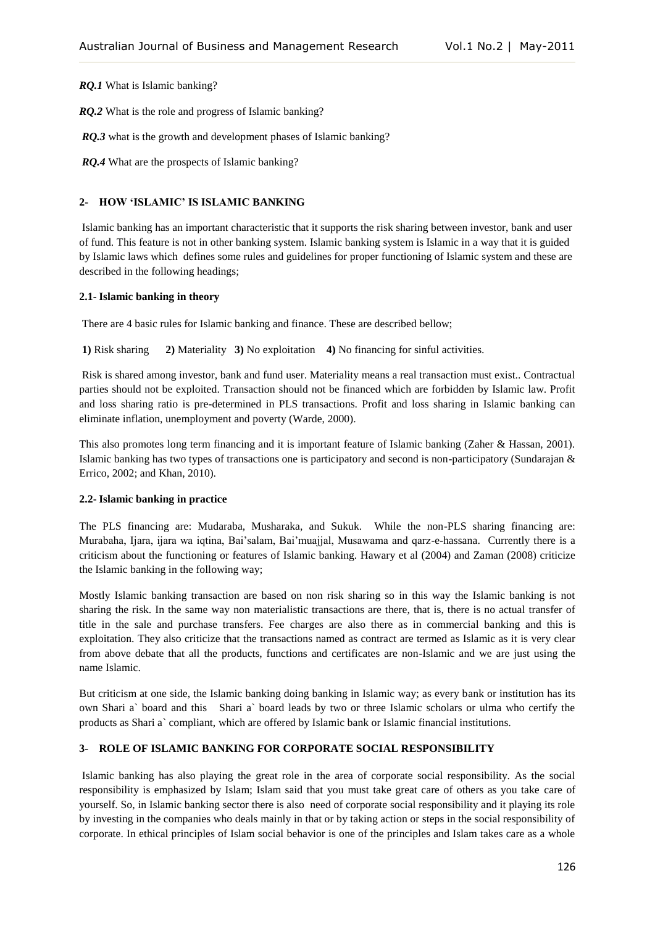*RQ.1* What is Islamic banking?

*RQ.2* What is the role and progress of Islamic banking?

*RQ.3* what is the growth and development phases of Islamic banking?

*RQ.4* What are the prospects of Islamic banking?

## **2- HOW 'ISLAMIC' IS ISLAMIC BANKING**

Islamic banking has an important characteristic that it supports the risk sharing between investor, bank and user of fund. This feature is not in other banking system. Islamic banking system is Islamic in a way that it is guided by Islamic laws which defines some rules and guidelines for proper functioning of Islamic system and these are described in the following headings;

#### **2.1- Islamic banking in theory**

There are 4 basic rules for Islamic banking and finance. These are described bellow;

**1)** Risk sharing **2)** Materiality **3)** No exploitation **4)** No financing for sinful activities.

Risk is shared among investor, bank and fund user. Materiality means a real transaction must exist.. Contractual parties should not be exploited. Transaction should not be financed which are forbidden by Islamic law. Profit and loss sharing ratio is pre-determined in PLS transactions. Profit and loss sharing in Islamic banking can eliminate inflation, unemployment and poverty (Warde, 2000).

This also promotes long term financing and it is important feature of Islamic banking (Zaher & Hassan, 2001). Islamic banking has two types of transactions one is participatory and second is non-participatory (Sundarajan & Errico, 2002; and Khan, 2010).

#### **2.2- Islamic banking in practice**

The PLS financing are: Mudaraba, Musharaka, and Sukuk. While the non-PLS sharing financing are: Murabaha, Ijara, ijara wa iqtina, Bai'salam, Bai'muajjal, Musawama and qarz-e-hassana. Currently there is a criticism about the functioning or features of Islamic banking. Hawary et al (2004) and Zaman (2008) criticize the Islamic banking in the following way;

Mostly Islamic banking transaction are based on non risk sharing so in this way the Islamic banking is not sharing the risk. In the same way non materialistic transactions are there, that is, there is no actual transfer of title in the sale and purchase transfers. Fee charges are also there as in commercial banking and this is exploitation. They also criticize that the transactions named as contract are termed as Islamic as it is very clear from above debate that all the products, functions and certificates are non-Islamic and we are just using the name Islamic.

But criticism at one side, the Islamic banking doing banking in Islamic way; as every bank or institution has its own Shari a` board and this Shari a` board leads by two or three Islamic scholars or ulma who certify the products as Shari a` compliant, which are offered by Islamic bank or Islamic financial institutions.

### **3- ROLE OF ISLAMIC BANKING FOR CORPORATE SOCIAL RESPONSIBILITY**

Islamic banking has also playing the great role in the area of corporate social responsibility. As the social responsibility is emphasized by Islam; Islam said that you must take great care of others as you take care of yourself. So, in Islamic banking sector there is also need of corporate social responsibility and it playing its role by investing in the companies who deals mainly in that or by taking action or steps in the social responsibility of corporate. In ethical principles of Islam social behavior is one of the principles and Islam takes care as a whole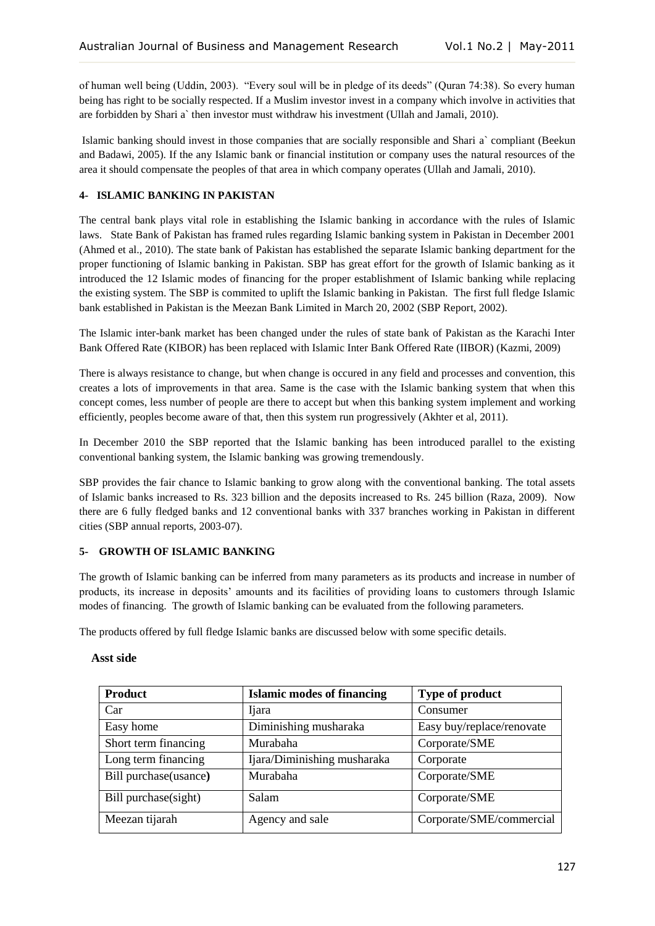of human well being (Uddin, 2003). "Every soul will be in pledge of its deeds" (Quran 74:38). So every human being has right to be socially respected. If a Muslim investor invest in a company which involve in activities that are forbidden by Shari a` then investor must withdraw his investment (Ullah and Jamali, 2010).

Islamic banking should invest in those companies that are socially responsible and Shari a` compliant (Beekun and Badawi, 2005). If the any Islamic bank or financial institution or company uses the natural resources of the area it should compensate the peoples of that area in which company operates (Ullah and Jamali, 2010).

## **4- ISLAMIC BANKING IN PAKISTAN**

The central bank plays vital role in establishing the Islamic banking in accordance with the rules of Islamic laws. State Bank of Pakistan has framed rules regarding Islamic banking system in Pakistan in December 2001 (Ahmed et al., 2010). The state bank of Pakistan has established the separate Islamic banking department for the proper functioning of Islamic banking in Pakistan. SBP has great effort for the growth of Islamic banking as it introduced the 12 Islamic modes of financing for the proper establishment of Islamic banking while replacing the existing system. The SBP is commited to uplift the Islamic banking in Pakistan. The first full fledge Islamic bank established in Pakistan is the Meezan Bank Limited in March 20, 2002 (SBP Report, 2002).

The Islamic inter-bank market has been changed under the rules of state bank of Pakistan as the Karachi Inter Bank Offered Rate (KIBOR) has been replaced with Islamic Inter Bank Offered Rate (IIBOR) (Kazmi, 2009)

There is always resistance to change, but when change is occured in any field and processes and convention, this creates a lots of improvements in that area. Same is the case with the Islamic banking system that when this concept comes, less number of people are there to accept but when this banking system implement and working efficiently, peoples become aware of that, then this system run progressively (Akhter et al, 2011).

In December 2010 the SBP reported that the Islamic banking has been introduced parallel to the existing conventional banking system, the Islamic banking was growing tremendously.

SBP provides the fair chance to Islamic banking to grow along with the conventional banking. The total assets of Islamic banks increased to Rs. 323 billion and the deposits increased to Rs. 245 billion (Raza, 2009). Now there are 6 fully fledged banks and 12 conventional banks with 337 branches working in Pakistan in different cities (SBP annual reports, 2003-07).

### **5- GROWTH OF ISLAMIC BANKING**

The growth of Islamic banking can be inferred from many parameters as its products and increase in number of products, its increase in deposits' amounts and its facilities of providing loans to customers through Islamic modes of financing. The growth of Islamic banking can be evaluated from the following parameters.

The products offered by full fledge Islamic banks are discussed below with some specific details.

### **Asst side**

| <b>Product</b>        | <b>Islamic modes of financing</b> | <b>Type of product</b>    |
|-----------------------|-----------------------------------|---------------------------|
| Car                   | <i>liara</i>                      | Consumer                  |
| Easy home             | Diminishing musharaka             | Easy buy/replace/renovate |
| Short term financing  | Murabaha                          | Corporate/SME             |
| Long term financing   | Ijara/Diminishing musharaka       | Corporate                 |
| Bill purchase(usance) | Murabaha                          | Corporate/SME             |
| Bill purchase(sight)  | Salam                             | Corporate/SME             |
| Meezan tijarah        | Agency and sale                   | Corporate/SME/commercial  |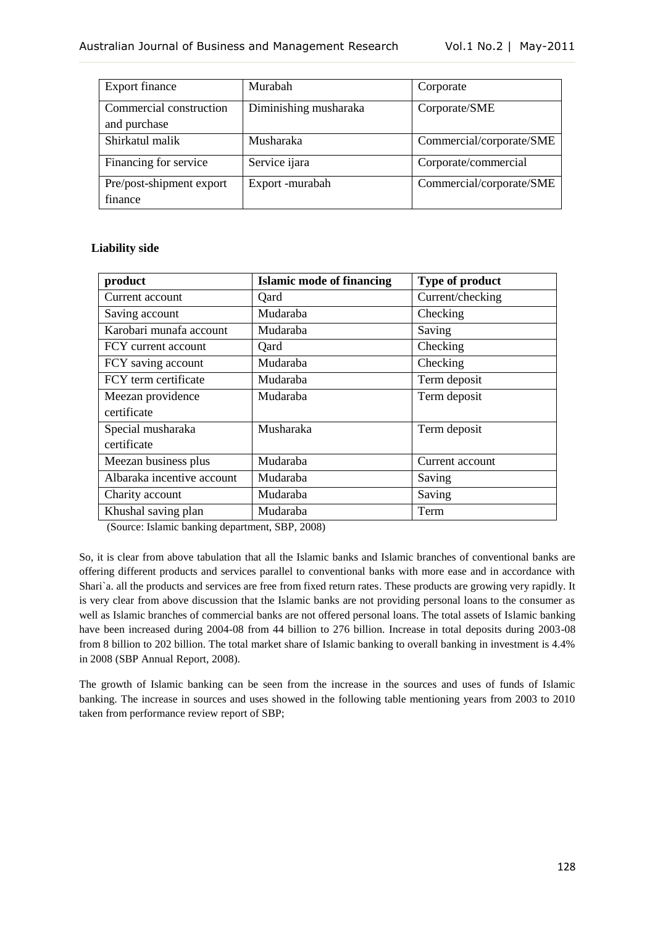| <b>Export finance</b>                   | Murabah               | Corporate                |
|-----------------------------------------|-----------------------|--------------------------|
| Commercial construction<br>and purchase | Diminishing musharaka | Corporate/SME            |
| Shirkatul malik                         | Musharaka             | Commercial/corporate/SME |
| Financing for service                   | Service ijara         | Corporate/commercial     |
| Pre/post-shipment export<br>finance     | Export-murabah        | Commercial/corporate/SME |

## **Liability side**

| product                    | <b>Islamic mode of financing</b> | Type of product  |
|----------------------------|----------------------------------|------------------|
| Current account            | Qard                             | Current/checking |
| Saving account             | Mudaraba                         | Checking         |
| Karobari munafa account    | Mudaraba                         | Saving           |
| FCY current account        | Qard                             | Checking         |
| FCY saving account         | Mudaraba                         | Checking         |
| FCY term certificate       | Mudaraba                         | Term deposit     |
| Meezan providence          | Mudaraba                         | Term deposit     |
| certificate                |                                  |                  |
| Special musharaka          | Musharaka                        | Term deposit     |
| certificate                |                                  |                  |
| Meezan business plus       | Mudaraba                         | Current account  |
| Albaraka incentive account | Mudaraba                         | Saving           |
| Charity account            | Mudaraba                         | Saving           |
| Khushal saving plan        | Mudaraba                         | Term             |

(Source: Islamic banking department, SBP, 2008)

So, it is clear from above tabulation that all the Islamic banks and Islamic branches of conventional banks are offering different products and services parallel to conventional banks with more ease and in accordance with Shari`a. all the products and services are free from fixed return rates. These products are growing very rapidly. It is very clear from above discussion that the Islamic banks are not providing personal loans to the consumer as well as Islamic branches of commercial banks are not offered personal loans. The total assets of Islamic banking have been increased during 2004-08 from 44 billion to 276 billion. Increase in total deposits during 2003-08 from 8 billion to 202 billion. The total market share of Islamic banking to overall banking in investment is 4.4% in 2008 (SBP Annual Report, 2008).

The growth of Islamic banking can be seen from the increase in the sources and uses of funds of Islamic banking. The increase in sources and uses showed in the following table mentioning years from 2003 to 2010 taken from performance review report of SBP;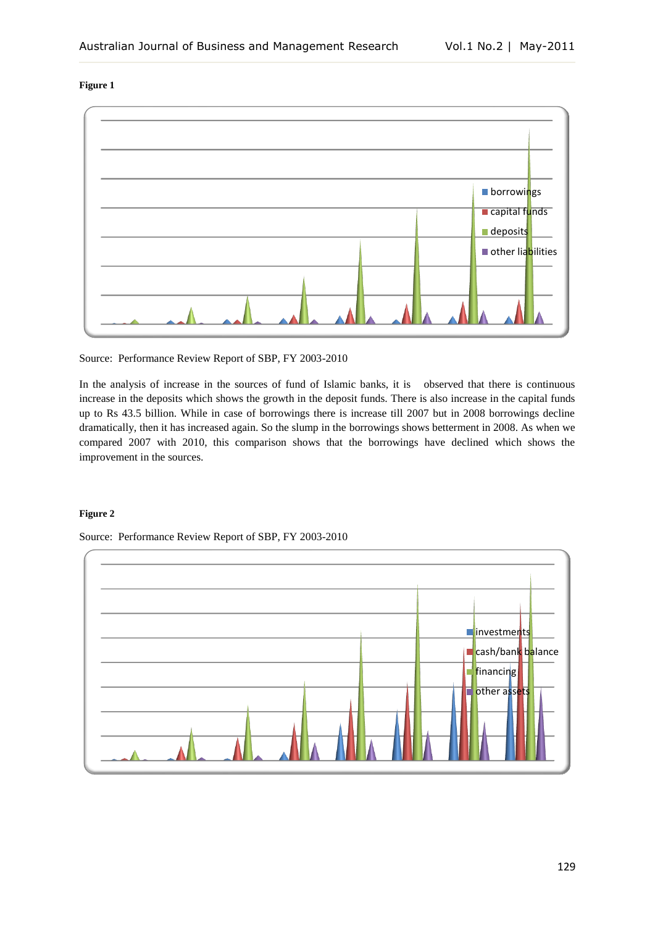#### **Figure 1**



## Source: Performance Review Report of SBP, FY 2003-2010

In the analysis of increase in the sources of fund of Islamic banks, it is observed that there is continuous increase in the deposits which shows the growth in the deposit funds. There is also increase in the capital funds up to Rs 43.5 billion. While in case of borrowings there is increase till 2007 but in 2008 borrowings decline dramatically, then it has increased again. So the slump in the borrowings shows betterment in 2008. As when we compared 2007 with 2010, this comparison shows that the borrowings have declined which shows the improvement in the sources.

### **Figure 2**

Source: Performance Review Report of SBP, FY 2003-2010

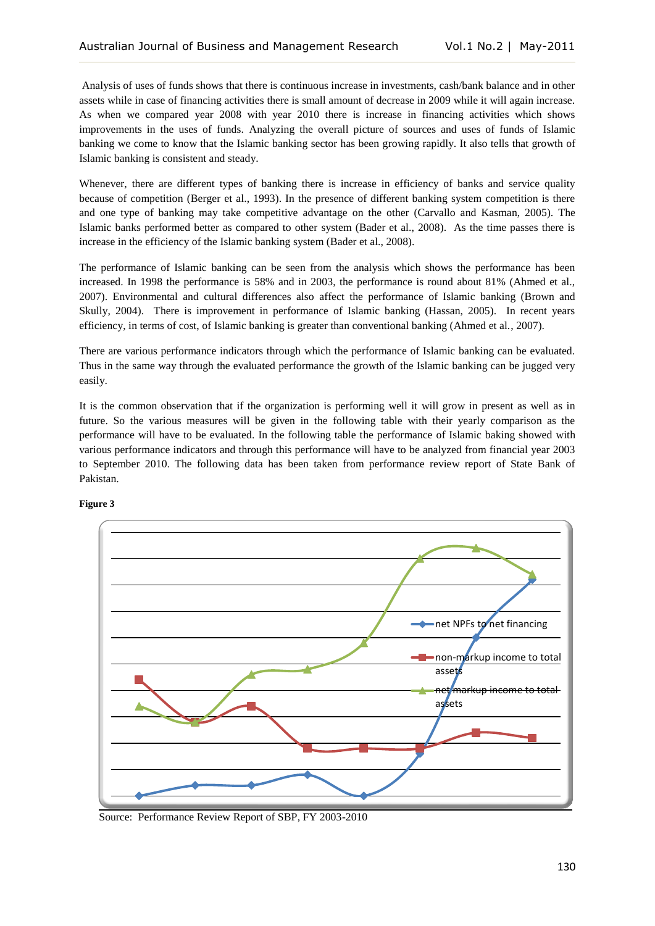Analysis of uses of funds shows that there is continuous increase in investments, cash/bank balance and in other assets while in case of financing activities there is small amount of decrease in 2009 while it will again increase. As when we compared year 2008 with year 2010 there is increase in financing activities which shows improvements in the uses of funds. Analyzing the overall picture of sources and uses of funds of Islamic banking we come to know that the Islamic banking sector has been growing rapidly. It also tells that growth of Islamic banking is consistent and steady.

Whenever, there are different types of banking there is increase in efficiency of banks and service quality because of competition (Berger et al., 1993). In the presence of different banking system competition is there and one type of banking may take competitive advantage on the other (Carvallo and Kasman, 2005). The Islamic banks performed better as compared to other system (Bader et al., 2008). As the time passes there is increase in the efficiency of the Islamic banking system (Bader et al., 2008).

The performance of Islamic banking can be seen from the analysis which shows the performance has been increased. In 1998 the performance is 58% and in 2003, the performance is round about 81% (Ahmed et al., 2007). Environmental and cultural differences also affect the performance of Islamic banking (Brown and Skully, 2004). There is improvement in performance of Islamic banking (Hassan, 2005). In recent years efficiency, in terms of cost, of Islamic banking is greater than conventional banking (Ahmed et al., 2007).

There are various performance indicators through which the performance of Islamic banking can be evaluated. Thus in the same way through the evaluated performance the growth of the Islamic banking can be jugged very easily.

It is the common observation that if the organization is performing well it will grow in present as well as in future. So the various measures will be given in the following table with their yearly comparison as the performance will have to be evaluated. In the following table the performance of Islamic baking showed with various performance indicators and through this performance will have to be analyzed from financial year 2003 to September 2010. The following data has been taken from performance review report of State Bank of Pakistan.



**Figure 3**

Source: Performance Review Report of SBP, FY 2003-2010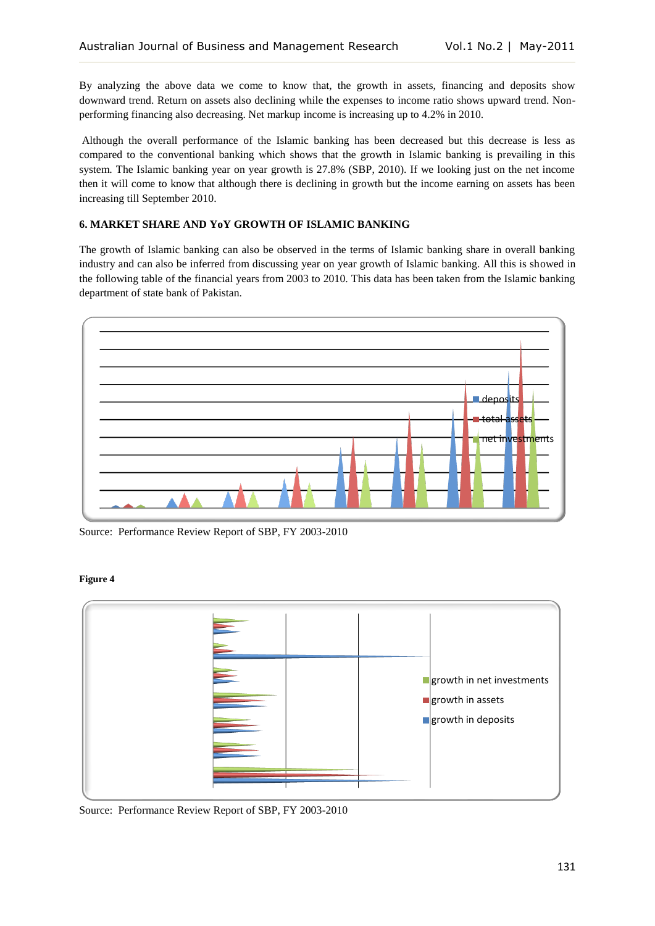By analyzing the above data we come to know that, the growth in assets, financing and deposits show downward trend. Return on assets also declining while the expenses to income ratio shows upward trend. Nonperforming financing also decreasing. Net markup income is increasing up to 4.2% in 2010.

Although the overall performance of the Islamic banking has been decreased but this decrease is less as compared to the conventional banking which shows that the growth in Islamic banking is prevailing in this system. The Islamic banking year on year growth is 27.8% (SBP, 2010). If we looking just on the net income then it will come to know that although there is declining in growth but the income earning on assets has been increasing till September 2010.

## **6. MARKET SHARE AND YoY GROWTH OF ISLAMIC BANKING**

The growth of Islamic banking can also be observed in the terms of Islamic banking share in overall banking industry and can also be inferred from discussing year on year growth of Islamic banking. All this is showed in the following table of the financial years from 2003 to 2010. This data has been taken from the Islamic banking department of state bank of Pakistan.



Source: Performance Review Report of SBP, FY 2003-2010

### **Figure 4**



Source: Performance Review Report of SBP, FY 2003-2010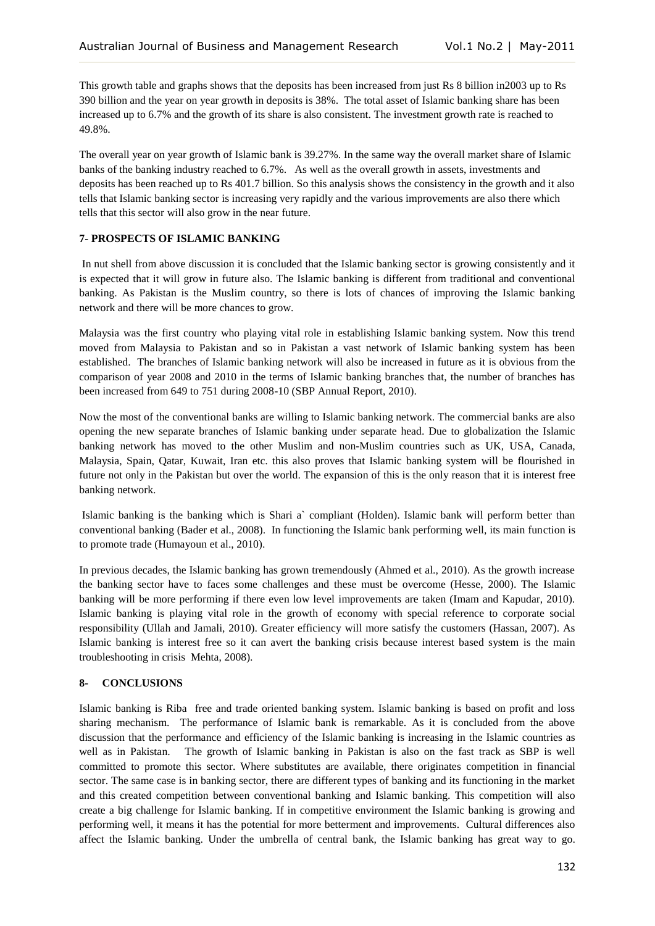This growth table and graphs shows that the deposits has been increased from just Rs 8 billion in2003 up to Rs 390 billion and the year on year growth in deposits is 38%. The total asset of Islamic banking share has been increased up to 6.7% and the growth of its share is also consistent. The investment growth rate is reached to 49.8%.

The overall year on year growth of Islamic bank is 39.27%. In the same way the overall market share of Islamic banks of the banking industry reached to 6.7%. As well as the overall growth in assets, investments and deposits has been reached up to Rs 401.7 billion. So this analysis shows the consistency in the growth and it also tells that Islamic banking sector is increasing very rapidly and the various improvements are also there which tells that this sector will also grow in the near future.

### **7- PROSPECTS OF ISLAMIC BANKING**

In nut shell from above discussion it is concluded that the Islamic banking sector is growing consistently and it is expected that it will grow in future also. The Islamic banking is different from traditional and conventional banking. As Pakistan is the Muslim country, so there is lots of chances of improving the Islamic banking network and there will be more chances to grow.

Malaysia was the first country who playing vital role in establishing Islamic banking system. Now this trend moved from Malaysia to Pakistan and so in Pakistan a vast network of Islamic banking system has been established. The branches of Islamic banking network will also be increased in future as it is obvious from the comparison of year 2008 and 2010 in the terms of Islamic banking branches that, the number of branches has been increased from 649 to 751 during 2008-10 (SBP Annual Report, 2010).

Now the most of the conventional banks are willing to Islamic banking network. The commercial banks are also opening the new separate branches of Islamic banking under separate head. Due to globalization the Islamic banking network has moved to the other Muslim and non-Muslim countries such as UK, USA, Canada, Malaysia, Spain, Qatar, Kuwait, Iran etc. this also proves that Islamic banking system will be flourished in future not only in the Pakistan but over the world. The expansion of this is the only reason that it is interest free banking network.

Islamic banking is the banking which is Shari a` compliant (Holden). Islamic bank will perform better than conventional banking (Bader et al., 2008). In functioning the Islamic bank performing well, its main function is to promote trade (Humayoun et al., 2010).

In previous decades, the Islamic banking has grown tremendously (Ahmed et al., 2010). As the growth increase the banking sector have to faces some challenges and these must be overcome (Hesse, 2000). The Islamic banking will be more performing if there even low level improvements are taken (Imam and Kapudar, 2010). Islamic banking is playing vital role in the growth of economy with special reference to corporate social responsibility (Ullah and Jamali, 2010). Greater efficiency will more satisfy the customers (Hassan, 2007). As Islamic banking is interest free so it can avert the banking crisis because interest based system is the main troubleshooting in crisis Mehta, 2008).

## **8- CONCLUSIONS**

Islamic banking is Riba free and trade oriented banking system. Islamic banking is based on profit and loss sharing mechanism. The performance of Islamic bank is remarkable. As it is concluded from the above discussion that the performance and efficiency of the Islamic banking is increasing in the Islamic countries as well as in Pakistan. The growth of Islamic banking in Pakistan is also on the fast track as SBP is well committed to promote this sector. Where substitutes are available, there originates competition in financial sector. The same case is in banking sector, there are different types of banking and its functioning in the market and this created competition between conventional banking and Islamic banking. This competition will also create a big challenge for Islamic banking. If in competitive environment the Islamic banking is growing and performing well, it means it has the potential for more betterment and improvements. Cultural differences also affect the Islamic banking. Under the umbrella of central bank, the Islamic banking has great way to go.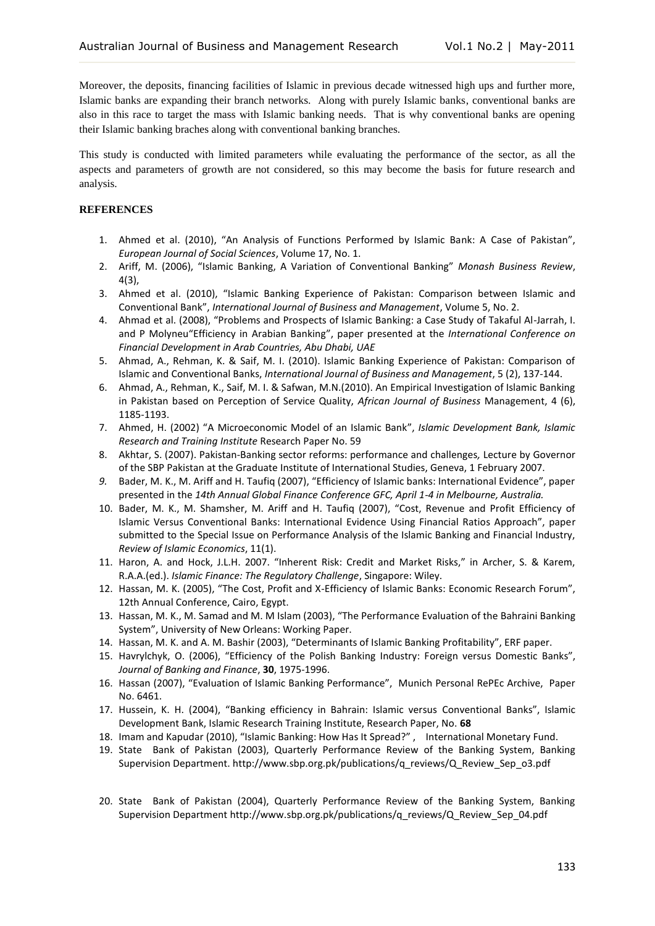Moreover, the deposits, financing facilities of Islamic in previous decade witnessed high ups and further more, Islamic banks are expanding their branch networks. Along with purely Islamic banks, conventional banks are also in this race to target the mass with Islamic banking needs. That is why conventional banks are opening their Islamic banking braches along with conventional banking branches.

This study is conducted with limited parameters while evaluating the performance of the sector, as all the aspects and parameters of growth are not considered, so this may become the basis for future research and analysis.

### **REFERENCES**

- 1. Ahmed et al. (2010), "An Analysis of Functions Performed by Islamic Bank: A Case of Pakistan", *European Journal of Social Sciences*, Volume 17, No. 1.
- 2. Ariff, M. (2006), "Islamic Banking, A Variation of Conventional Banking" *Monash Business Review*, 4(3),
- 3. Ahmed et al. (2010), "Islamic Banking Experience of Pakistan: Comparison between Islamic and Conventional Bank", *International Journal of Business and Management*, Volume 5, No. 2.
- 4. Ahmad et al. (2008), "Problems and Prospects of Islamic Banking: a Case Study of Takaful Al-Jarrah, I. and P Molyneu"Efficiency in Arabian Banking", paper presented at the *International Conference on Financial Development in Arab Countries, Abu Dhabi, UAE*
- 5. Ahmad, A., Rehman, K. & Saif, M. I. (2010). Islamic Banking Experience of Pakistan: Comparison of Islamic and Conventional Banks, *International Journal of Business and Management*, 5 (2), 137-144.
- 6. Ahmad, A., Rehman, K., Saif, M. I. & Safwan, M.N.(2010). An Empirical Investigation of Islamic Banking in Pakistan based on Perception of Service Quality, *African Journal of Business* Management, 4 (6), 1185-1193.
- 7. Ahmed, H. (2002) "A Microeconomic Model of an Islamic Bank", *Islamic Development Bank, Islamic Research and Training Institute* Research Paper No. 59
- 8. Akhtar, S. (2007). Pakistan-Banking sector reforms: performance and challenges*,* Lecture by Governor of the SBP Pakistan at the Graduate Institute of International Studies, Geneva, 1 February 2007.
- *9.* Bader, M. K., M. Ariff and H. Taufiq (2007), "Efficiency of Islamic banks: International Evidence", paper presented in the *14th Annual Global Finance Conference GFC, April 1-4 in Melbourne, Australia.*
- 10. Bader, M. K., M. Shamsher, M. Ariff and H. Taufiq (2007), "Cost, Revenue and Profit Efficiency of Islamic Versus Conventional Banks: International Evidence Using Financial Ratios Approach", paper submitted to the Special Issue on Performance Analysis of the Islamic Banking and Financial Industry, *Review of Islamic Economics*, 11(1).
- 11. Haron, A. and Hock, J.L.H. 2007. "Inherent Risk: Credit and Market Risks," in Archer, S. & Karem, R.A.A.(ed.). *Islamic Finance: The Regulatory Challenge*, Singapore: Wiley.
- 12. Hassan, M. K. (2005), "The Cost, Profit and X-Efficiency of Islamic Banks: Economic Research Forum", 12th Annual Conference, Cairo, Egypt.
- 13. Hassan, M. K., M. Samad and M. M Islam (2003), "The Performance Evaluation of the Bahraini Banking System", University of New Orleans: Working Paper.
- 14. Hassan, M. K. and A. M. Bashir (2003), "Determinants of Islamic Banking Profitability", ERF paper.
- 15. Havrylchyk, O. (2006), "Efficiency of the Polish Banking Industry: Foreign versus Domestic Banks", *Journal of Banking and Finance*, **30**, 1975-1996.
- 16. Hassan (2007), "Evaluation of Islamic Banking Performance", Munich Personal RePEc Archive, Paper No. 6461.
- 17. Hussein, K. H. (2004), "Banking efficiency in Bahrain: Islamic versus Conventional Banks", Islamic Development Bank, Islamic Research Training Institute, Research Paper, No. **68**
- 18. Imam and Kapudar (2010), "Islamic Banking: How Has It Spread?" , International Monetary Fund.
- 19. State Bank of Pakistan (2003), Quarterly Performance Review of the Banking System, Banking Supervision Department. http://www.sbp.org.pk/publications/q\_reviews/Q\_Review\_Sep\_o3.pdf
- 20. State Bank of Pakistan (2004), Quarterly Performance Review of the Banking System, Banking Supervision Department http://www.sbp.org.pk/publications/q\_reviews/Q\_Review\_Sep\_04.pdf